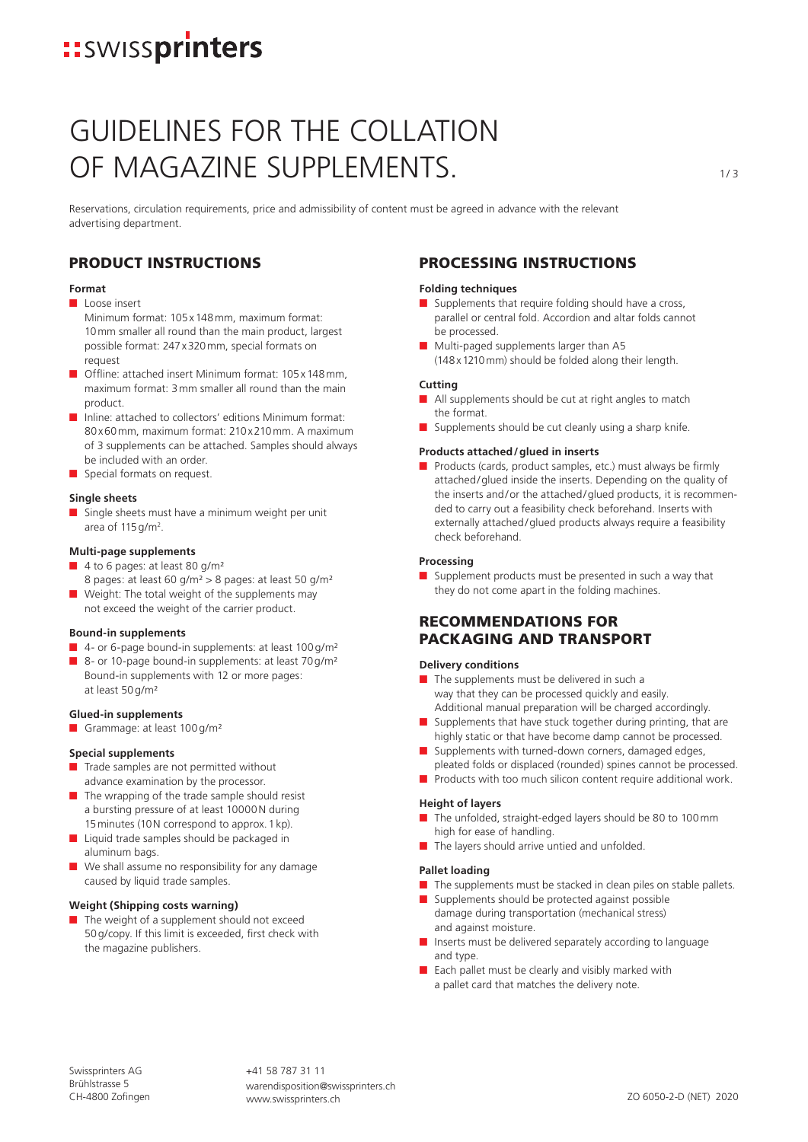## **::**SWISSprinters

## GUIDELINES FOR THE COLLATION OF MAGAZINE SUPPLEMENTS.

Reservations, circulation requirements, price and admissibility of content must be agreed in advance with the relevant advertising department.

## PRODUCT INSTRUCTIONS

## **Format**

■ Loose insert

Minimum format: 105x148mm, maximum format: 10mm smaller all round than the main product, largest possible format: 247x320mm, special formats on request

- Offline: attached insert Minimum format: 105 x 148 mm maximum format: 3mm smaller all round than the main product.
- Inline: attached to collectors' editions Minimum format: 80x60mm, maximum format: 210x210mm. A maximum of 3 supplements can be attached. Samples should always be included with an order.
- Special formats on request.

## **Single sheets**

■ Single sheets must have a minimum weight per unit area of  $115$ g/m<sup>2</sup>.

## **Multi-page supplements**

- 4 to 6 pages: at least 80 g/m<sup>2</sup> 8 pages: at least 60 g/m² > 8 pages: at least 50 g/m²
- Weight: The total weight of the supplements may not exceed the weight of the carrier product.

### **Bound-in supplements**

- 4- or 6-page bound-in supplements: at least 100 g/m<sup>2</sup>
- 8- or 10-page bound-in supplements: at least 70 g/m<sup>2</sup> Bound-in supplements with 12 or more pages: at least 50g/m²

#### **Glued-in supplements**

■ Grammage: at least 100 g/m<sup>2</sup>

## **Special supplements**

- Trade samples are not permitted without advance examination by the processor.
- The wrapping of the trade sample should resist a bursting pressure of at least 10000N during 15minutes (10N correspond to approx. 1kp).
- Liquid trade samples should be packaged in aluminum bags.
- We shall assume no responsibility for any damage caused by liquid trade samples.

#### **Weight (Shipping costs warning)**

The weight of a supplement should not exceed 50g/copy. If this limit is exceeded, first check with the magazine publishers.

## PROCESSING INSTRUCTIONS

## **Folding techniques**

- Supplements that require folding should have a cross, parallel or central fold. Accordion and altar folds cannot be processed.
- Multi-paged supplements larger than A5 (148x1210mm) should be folded along their length.

## **Cutting**

- All supplements should be cut at right angles to match the format.
- Supplements should be cut cleanly using a sharp knife.

## **Products attached/glued in inserts**

■ Products (cards, product samples, etc.) must always be firmly attached/glued inside the inserts. Depending on the quality of the inserts and/or the attached/glued products, it is recommended to carry out a feasibility check beforehand. Inserts with externally attached/glued products always require a feasibility check beforehand.

## **Processing**

■ Supplement products must be presented in such a way that they do not come apart in the folding machines.

## RECOMMENDATIONS FOR PACKAGING AND TRANSPORT

## **Delivery conditions**

- The supplements must be delivered in such a way that they can be processed quickly and easily. Additional manual preparation will be charged accordingly.
- Supplements that have stuck together during printing, that are highly static or that have become damp cannot be processed.
- Supplements with turned-down corners, damaged edges, pleated folds or displaced (rounded) spines cannot be processed.
- Products with too much silicon content require additional work.

## **Height of layers**

- The unfolded, straight-edged layers should be 80 to 100mm high for ease of handling.
- The layers should arrive untied and unfolded.

## **Pallet loading**

- The supplements must be stacked in clean piles on stable pallets.
- Supplements should be protected against possible damage during transportation (mechanical stress) and against moisture.
- Inserts must be delivered separately according to language and type.
- Each pallet must be clearly and visibly marked with a pallet card that matches the delivery note.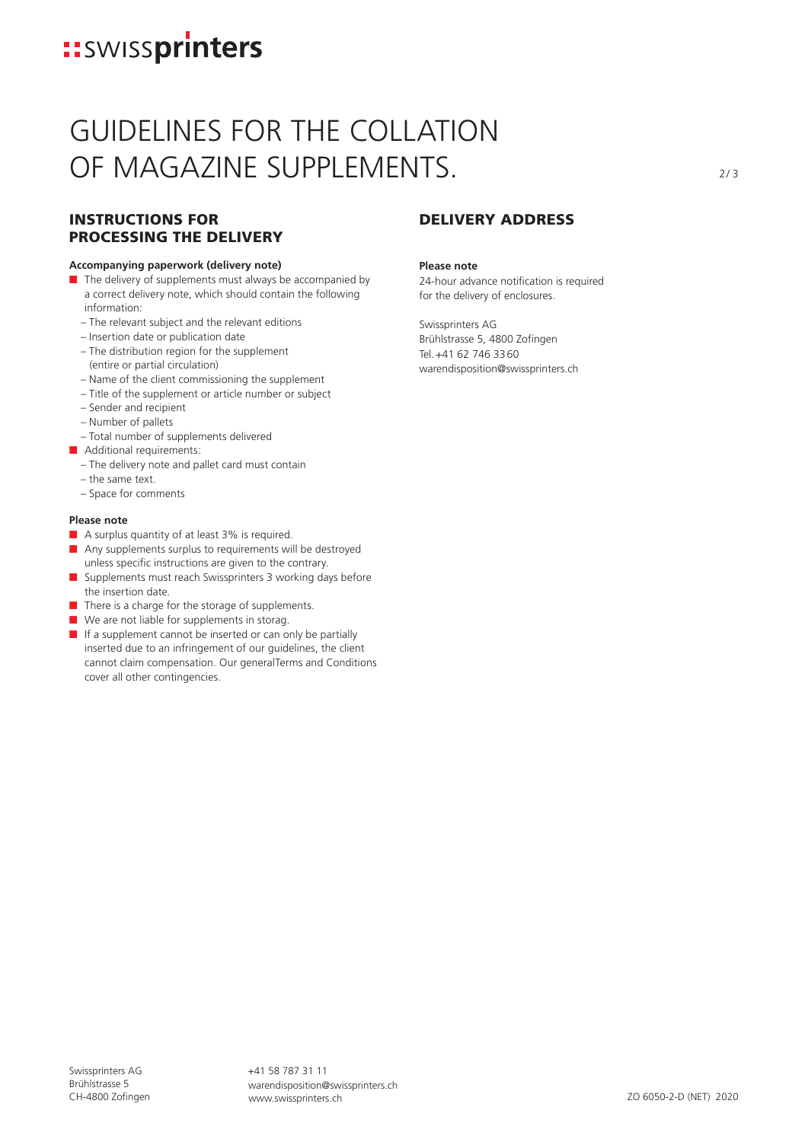## **::**SWISSprinters

## GUIDELINES FOR THE COLLATION OF MAGAZINE SUPPLEMENTS.

## INSTRUCTIONS FOR PROCESSING THE DELIVERY

## **Accompanying paperwork (delivery note)**

- The delivery of supplements must always be accompanied by a correct delivery note, which should contain the following information:
	- The relevant subject and the relevant editions
	- Insertion date or publication date
	- The distribution region for the supplement (entire or partial circulation)
	- Name of the client commissioning the supplement
	- Title of the supplement or article number or subject
	- Sender and recipient
	- Number of pallets
- Total number of supplements delivered
- Additional requirements:
	- The delivery note and pallet card must contain
	- the same text.
	- Space for comments

## **Please note**

- A surplus quantity of at least 3% is required.
- Any supplements surplus to requirements will be destroyed unless specific instructions are given to the contrary.
- Supplements must reach Swissprinters 3 working days before the insertion date.
- There is a charge for the storage of supplements.
- We are not liable for supplements in storag.
- If a supplement cannot be inserted or can only be partially inserted due to an infringement of our guidelines, the client cannot claim compensation. Our generalTerms and Conditions cover all other contingencies.

## DELIVERY ADDRESS

### **Please note**

24-hour advance notification is required for the delivery of enclosures.

Swissprinters AG Brühlstrasse 5, 4800 Zofingen Tel.+41 62 746 3360 warendisposition@swissprinters.ch